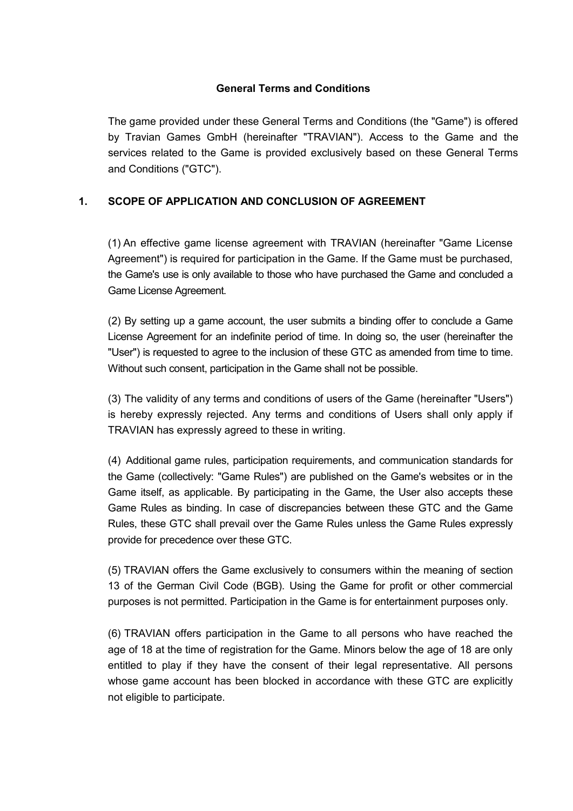## **General Terms and Conditions**

The game provided under these General Terms and Conditions (the "Game") is offered by Travian Games GmbH (hereinafter "TRAVIAN"). Access to the Game and the services related to the Game is provided exclusively based on these General Terms and Conditions ("GTC").

## **1. SCOPE OF APPLICATION AND CONCLUSION OF AGREEMENT**

(1) An effective game license agreement with TRAVIAN (hereinafter "Game License Agreement") is required for participation in the Game. If the Game must be purchased, the Game's use is only available to those who have purchased the Game and concluded a Game License Agreement.

(2) By setting up a game account, the user submits a binding offer to conclude a Game License Agreement for an indefinite period of time. In doing so, the user (hereinafter the "User") is requested to agree to the inclusion of these GTC as amended from time to time. Without such consent, participation in the Game shall not be possible.

(3) The validity of any terms and conditions of users of the Game (hereinafter "Users") is hereby expressly rejected. Any terms and conditions of Users shall only apply if TRAVIAN has expressly agreed to these in writing.

(4) Additional game rules, participation requirements, and communication standards for the Game (collectively: "Game Rules") are published on the Game's websites or in the Game itself, as applicable. By participating in the Game, the User also accepts these Game Rules as binding. In case of discrepancies between these GTC and the Game Rules, these GTC shall prevail over the Game Rules unless the Game Rules expressly provide for precedence over these GTC.

(5) TRAVIAN offers the Game exclusively to consumers within the meaning of section 13 of the German Civil Code (BGB). Using the Game for profit or other commercial purposes is not permitted. Participation in the Game is for entertainment purposes only.

(6) TRAVIAN offers participation in the Game to all persons who have reached the age of 18 at the time of registration for the Game. Minors below the age of 18 are only entitled to play if they have the consent of their legal representative. All persons whose game account has been blocked in accordance with these GTC are explicitly not eligible to participate.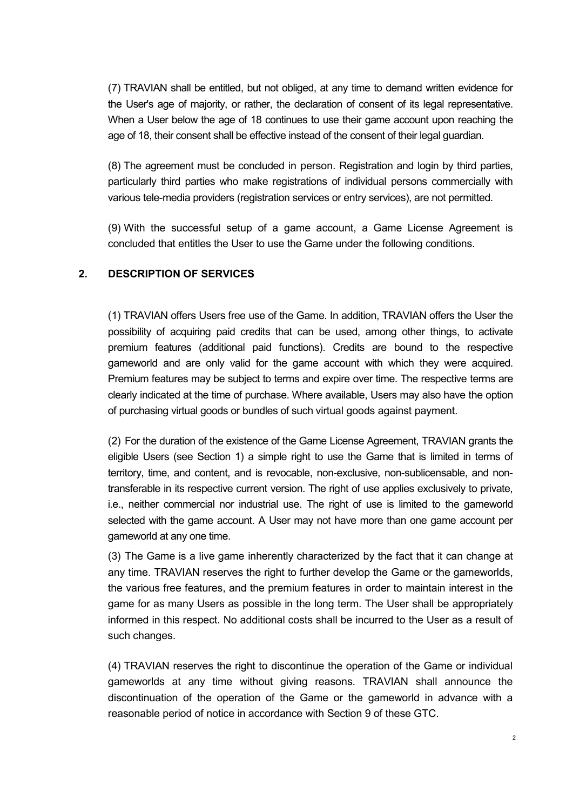(7) TRAVIAN shall be entitled, but not obliged, at any time to demand written evidence for the User's age of majority, or rather, the declaration of consent of its legal representative. When a User below the age of 18 continues to use their game account upon reaching the age of 18, their consent shall be effective instead of the consent of their legal guardian.

(8) The agreement must be concluded in person. Registration and login by third parties, particularly third parties who make registrations of individual persons commercially with various tele-media providers (registration services or entry services), are not permitted.

(9) With the successful setup of a game account, a Game License Agreement is concluded that entitles the User to use the Game under the following conditions.

## **2. DESCRIPTION OF SERVICES**

(1) TRAVIAN offers Users free use of the Game. In addition, TRAVIAN offers the User the possibility of acquiring paid credits that can be used, among other things, to activate premium features (additional paid functions). Credits are bound to the respective gameworld and are only valid for the game account with which they were acquired. Premium features may be subject to terms and expire over time. The respective terms are clearly indicated at the time of purchase. Where available, Users may also have the option of purchasing virtual goods or bundles of such virtual goods against payment.

(2) For the duration of the existence of the Game License Agreement, TRAVIAN grants the eligible Users (see Section 1) a simple right to use the Game that is limited in terms of territory, time, and content, and is revocable, non-exclusive, non-sublicensable, and nontransferable in its respective current version. The right of use applies exclusively to private, i.e., neither commercial nor industrial use. The right of use is limited to the gameworld selected with the game account. A User may not have more than one game account per gameworld at any one time.

(3) The Game is a live game inherently characterized by the fact that it can change at any time. TRAVIAN reserves the right to further develop the Game or the gameworlds, the various free features, and the premium features in order to maintain interest in the game for as many Users as possible in the long term. The User shall be appropriately informed in this respect. No additional costs shall be incurred to the User as a result of such changes.

(4) TRAVIAN reserves the right to discontinue the operation of the Game or individual gameworlds at any time without giving reasons. TRAVIAN shall announce the discontinuation of the operation of the Game or the gameworld in advance with a reasonable period of notice in accordance with Section 9 of these GTC.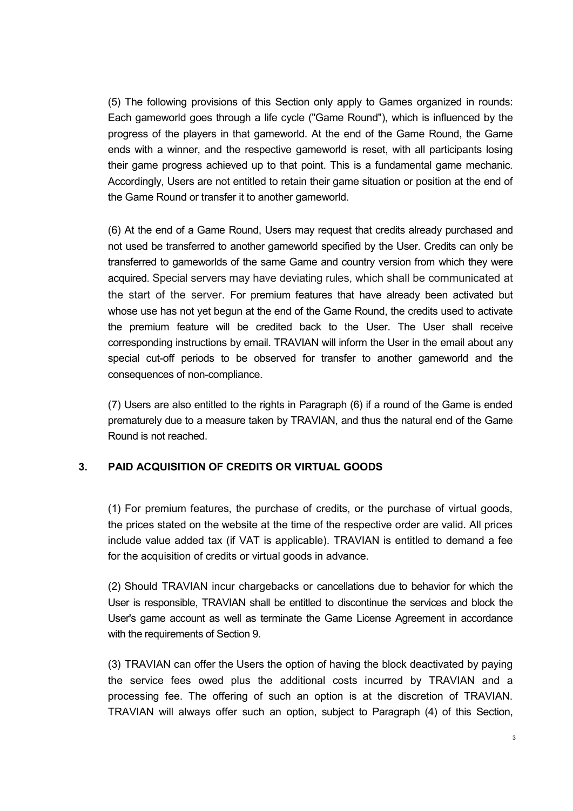(5) The following provisions of this Section only apply to Games organized in rounds: Each gameworld goes through a life cycle ("Game Round"), which is influenced by the progress of the players in that gameworld. At the end of the Game Round, the Game ends with a winner, and the respective gameworld is reset, with all participants losing their game progress achieved up to that point. This is a fundamental game mechanic. Accordingly, Users are not entitled to retain their game situation or position at the end of the Game Round or transfer it to another gameworld.

(6) At the end of a Game Round, Users may request that credits already purchased and not used be transferred to another gameworld specified by the User. Credits can only be transferred to gameworlds of the same Game and country version from which they were acquired. Special servers may have deviating rules, which shall be communicated at the start of the server. For premium features that have already been activated but whose use has not yet begun at the end of the Game Round, the credits used to activate the premium feature will be credited back to the User. The User shall receive corresponding instructions by email. TRAVIAN will inform the User in the email about any special cut-off periods to be observed for transfer to another gameworld and the consequences of non-compliance.

(7) Users are also entitled to the rights in Paragraph (6) if a round of the Game is ended prematurely due to a measure taken by TRAVIAN, and thus the natural end of the Game Round is not reached.

# **3. PAID ACQUISITION OF CREDITS OR VIRTUAL GOODS**

(1) For premium features, the purchase of credits, or the purchase of virtual goods, the prices stated on the website at the time of the respective order are valid. All prices include value added tax (if VAT is applicable). TRAVIAN is entitled to demand a fee for the acquisition of credits or virtual goods in advance.

(2) Should TRAVIAN incur chargebacks or cancellations due to behavior for which the User is responsible, TRAVIAN shall be entitled to discontinue the services and block the User's game account as well as terminate the Game License Agreement in accordance with the requirements of Section 9.

(3) TRAVIAN can offer the Users the option of having the block deactivated by paying the service fees owed plus the additional costs incurred by TRAVIAN and a processing fee. The offering of such an option is at the discretion of TRAVIAN. TRAVIAN will always offer such an option, subject to Paragraph (4) of this Section,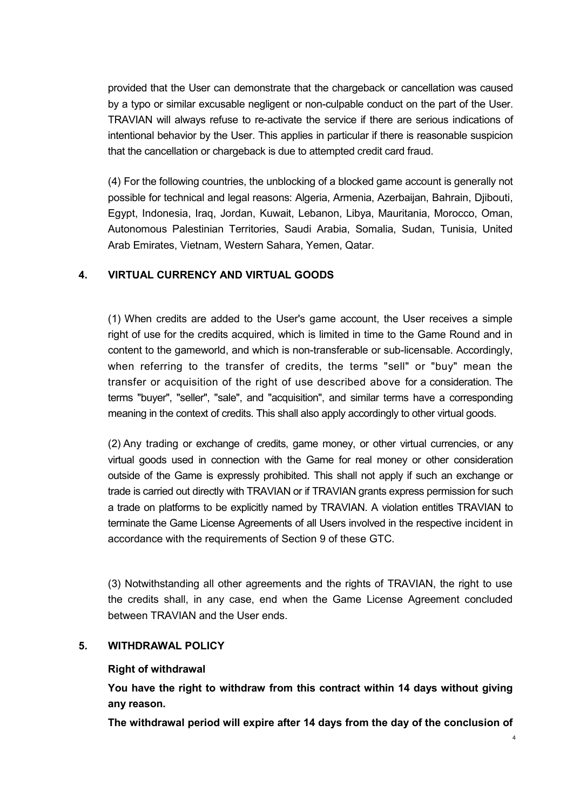provided that the User can demonstrate that the chargeback or cancellation was caused by a typo or similar excusable negligent or non-culpable conduct on the part of the User. TRAVIAN will always refuse to re-activate the service if there are serious indications of intentional behavior by the User. This applies in particular if there is reasonable suspicion that the cancellation or chargeback is due to attempted credit card fraud.

(4) For the following countries, the unblocking of a blocked game account is generally not possible for technical and legal reasons: Algeria, Armenia, Azerbaijan, Bahrain, Djibouti, Egypt, Indonesia, Iraq, Jordan, Kuwait, Lebanon, Libya, Mauritania, Morocco, Oman, Autonomous Palestinian Territories, Saudi Arabia, Somalia, Sudan, Tunisia, United Arab Emirates, Vietnam, Western Sahara, Yemen, Qatar.

## **4. VIRTUAL CURRENCY AND VIRTUAL GOODS**

(1) When credits are added to the User's game account, the User receives a simple right of use for the credits acquired, which is limited in time to the Game Round and in content to the gameworld, and which is non-transferable or sub-licensable. Accordingly, when referring to the transfer of credits, the terms "sell" or "buy" mean the transfer or acquisition of the right of use described above for a consideration. The terms "buyer", "seller", "sale", and "acquisition", and similar terms have a corresponding meaning in the context of credits. This shall also apply accordingly to other virtual goods.

(2) Any trading or exchange of credits, game money, or other virtual currencies, or any virtual goods used in connection with the Game for real money or other consideration outside of the Game is expressly prohibited. This shall not apply if such an exchange or trade is carried out directly with TRAVIAN or if TRAVIAN grants express permission for such a trade on platforms to be explicitly named by TRAVIAN. A violation entitles TRAVIAN to terminate the Game License Agreements of all Users involved in the respective incident in accordance with the requirements of Section 9 of these GTC.

(3) Notwithstanding all other agreements and the rights of TRAVIAN, the right to use the credits shall, in any case, end when the Game License Agreement concluded between TRAVIAN and the User ends.

## **5. WITHDRAWAL POLICY**

## **Right of withdrawal**

**You have the right to withdraw from this contract within 14 days without giving any reason.** 

**The withdrawal period will expire after 14 days from the day of the conclusion of**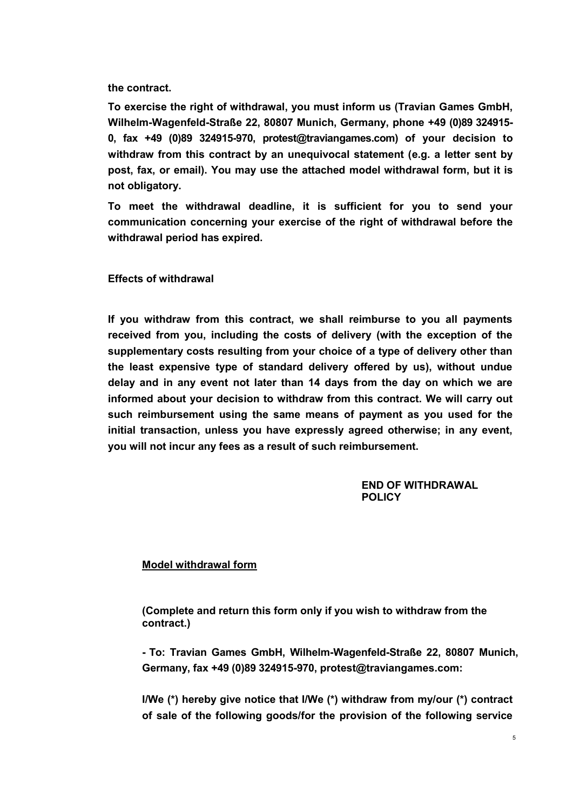**the contract.**

**To exercise the right of withdrawal, you must inform us (Travian Games GmbH, Wilhelm-Wagenfeld-Straße 22, 80807 Munich, Germany, phone +49 (0)89 324915- 0, fax +49 (0)89 324915-970, protest@traviangames.com) of your decision to withdraw from this contract by an unequivocal statement (e.g. a letter sent by post, fax, or email). You may use the attached model withdrawal form, but it is not obligatory.** 

**To meet the withdrawal deadline, it is sufficient for you to send your communication concerning your exercise of the right of withdrawal before the withdrawal period has expired.** 

**Effects of withdrawal** 

**If you withdraw from this contract, we shall reimburse to you all payments received from you, including the costs of delivery (with the exception of the supplementary costs resulting from your choice of a type of delivery other than the least expensive type of standard delivery offered by us), without undue delay and in any event not later than 14 days from the day on which we are informed about your decision to withdraw from this contract. We will carry out such reimbursement using the same means of payment as you used for the initial transaction, unless you have expressly agreed otherwise; in any event, you will not incur any fees as a result of such reimbursement.** 

> **END OF WITHDRAWAL POLICY**

#### **Model withdrawal form**

**(Complete and return this form only if you wish to withdraw from the contract.)** 

**- To: Travian Games GmbH, Wilhelm-Wagenfeld-Straße 22, 80807 Munich, Germany, fax +49 (0)89 324915-970, [protest@traviangames.com:](mailto:protest@traviangames.com)** 

**I/We (\*) hereby give notice that I/We (\*) withdraw from my/our (\*) contract of sale of the following goods/for the provision of the following service**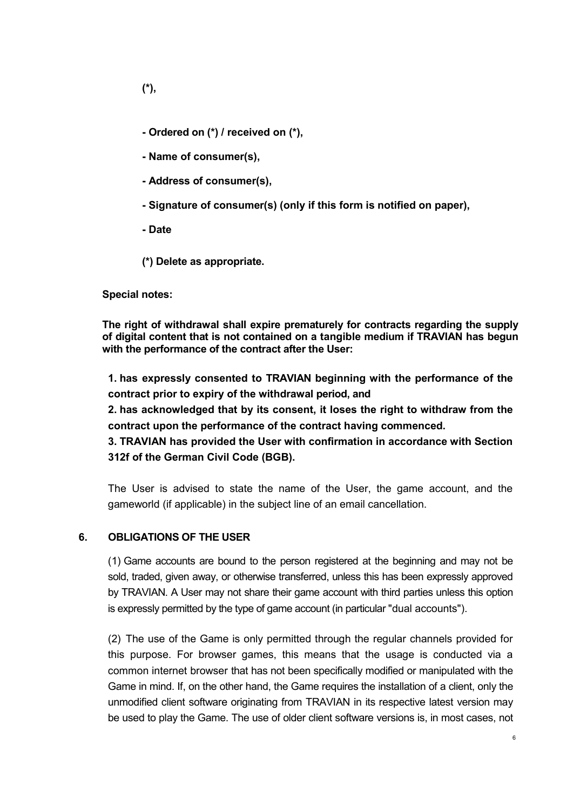- **Ordered on (\*) / received on (\*),**
- **Name of consumer(s),**
- **Address of consumer(s),**
- **Signature of consumer(s) (only if this form is notified on paper),**
- **Date**

**(\*) Delete as appropriate.** 

**Special notes:** 

**The right of withdrawal shall expire prematurely for contracts regarding the supply of digital content that is not contained on a tangible medium if TRAVIAN has begun with the performance of the contract after the User:** 

**1. has expressly consented to TRAVIAN beginning with the performance of the contract prior to expiry of the withdrawal period, and** 

**2. has acknowledged that by its consent, it loses the right to withdraw from the contract upon the performance of the contract having commenced.** 

**3. TRAVIAN has provided the User with confirmation in accordance with Section 312f of the German Civil Code (BGB).** 

The User is advised to state the name of the User, the game account, and the gameworld (if applicable) in the subject line of an email cancellation.

## **6. OBLIGATIONS OF THE USER**

(1) Game accounts are bound to the person registered at the beginning and may not be sold, traded, given away, or otherwise transferred, unless this has been expressly approved by TRAVIAN. A User may not share their game account with third parties unless this option is expressly permitted by the type of game account (in particular "dual accounts").

(2) The use of the Game is only permitted through the regular channels provided for this purpose. For browser games, this means that the usage is conducted via a common internet browser that has not been specifically modified or manipulated with the Game in mind. If, on the other hand, the Game requires the installation of a client, only the unmodified client software originating from TRAVIAN in its respective latest version may be used to play the Game. The use of older client software versions is, in most cases, not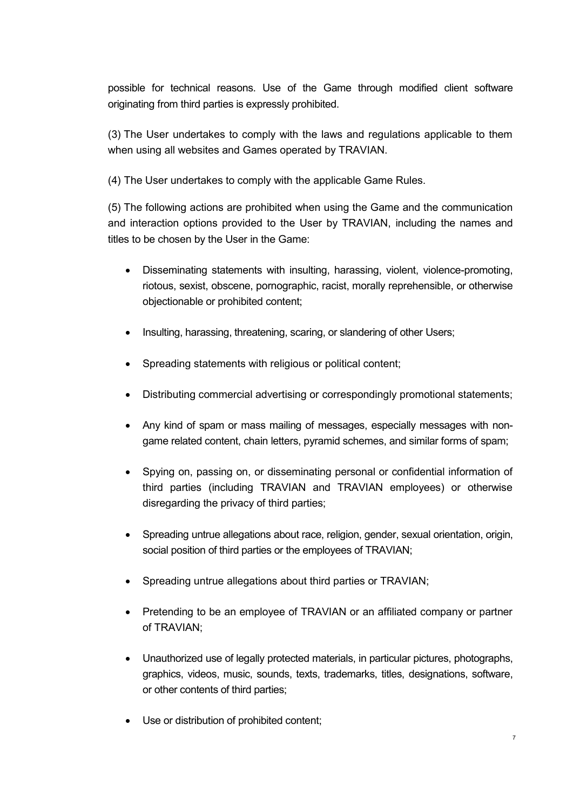possible for technical reasons. Use of the Game through modified client software originating from third parties is expressly prohibited.

(3) The User undertakes to comply with the laws and regulations applicable to them when using all websites and Games operated by TRAVIAN.

(4) The User undertakes to comply with the applicable Game Rules.

(5) The following actions are prohibited when using the Game and the communication and interaction options provided to the User by TRAVIAN, including the names and titles to be chosen by the User in the Game:

- Disseminating statements with insulting, harassing, violent, violence-promoting, riotous, sexist, obscene, pornographic, racist, morally reprehensible, or otherwise objectionable or prohibited content;
- Insulting, harassing, threatening, scaring, or slandering of other Users;
- Spreading statements with religious or political content;
- Distributing commercial advertising or correspondingly promotional statements;
- Any kind of spam or mass mailing of messages, especially messages with nongame related content, chain letters, pyramid schemes, and similar forms of spam;
- Spying on, passing on, or disseminating personal or confidential information of third parties (including TRAVIAN and TRAVIAN employees) or otherwise disregarding the privacy of third parties;
- Spreading untrue allegations about race, religion, gender, sexual orientation, origin, social position of third parties or the employees of TRAVIAN;
- Spreading untrue allegations about third parties or TRAVIAN;
- Pretending to be an employee of TRAVIAN or an affiliated company or partner of TRAVIAN;
- Unauthorized use of legally protected materials, in particular pictures, photographs, graphics, videos, music, sounds, texts, trademarks, titles, designations, software, or other contents of third parties;
- Use or distribution of prohibited content;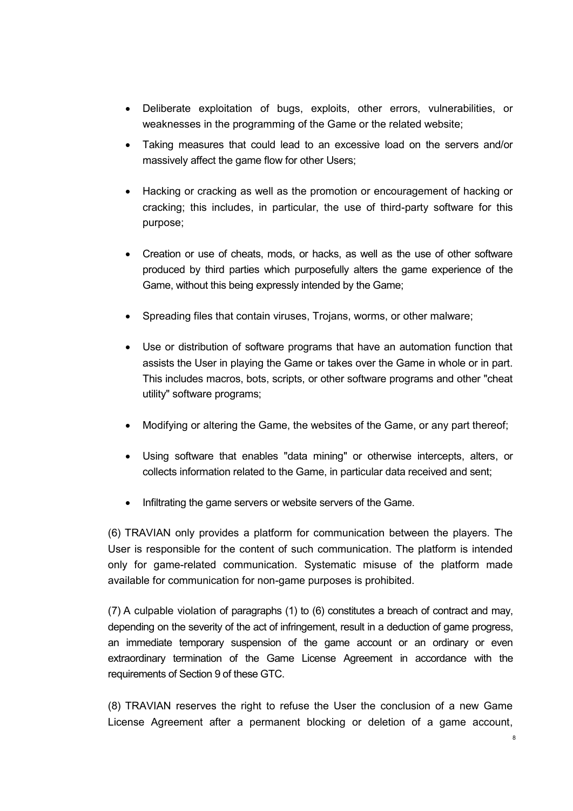- Deliberate exploitation of bugs, exploits, other errors, vulnerabilities, or weaknesses in the programming of the Game or the related website;
- Taking measures that could lead to an excessive load on the servers and/or massively affect the game flow for other Users;
- Hacking or cracking as well as the promotion or encouragement of hacking or cracking; this includes, in particular, the use of third-party software for this purpose;
- Creation or use of cheats, mods, or hacks, as well as the use of other software produced by third parties which purposefully alters the game experience of the Game, without this being expressly intended by the Game;
- Spreading files that contain viruses, Trojans, worms, or other malware;
- Use or distribution of software programs that have an automation function that assists the User in playing the Game or takes over the Game in whole or in part. This includes macros, bots, scripts, or other software programs and other "cheat utility" software programs;
- Modifying or altering the Game, the websites of the Game, or any part thereof;
- Using software that enables "data mining" or otherwise intercepts, alters, or collects information related to the Game, in particular data received and sent;
- Infiltrating the game servers or website servers of the Game.

(6) TRAVIAN only provides a platform for communication between the players. The User is responsible for the content of such communication. The platform is intended only for game-related communication. Systematic misuse of the platform made available for communication for non-game purposes is prohibited.

(7) A culpable violation of paragraphs (1) to (6) constitutes a breach of contract and may, depending on the severity of the act of infringement, result in a deduction of game progress, an immediate temporary suspension of the game account or an ordinary or even extraordinary termination of the Game License Agreement in accordance with the requirements of Section 9 of these GTC.

(8) TRAVIAN reserves the right to refuse the User the conclusion of a new Game License Agreement after a permanent blocking or deletion of a game account,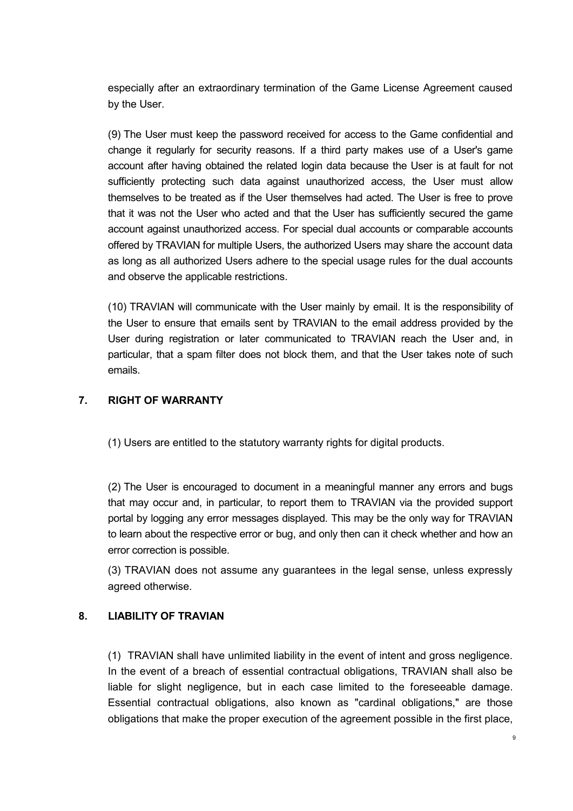especially after an extraordinary termination of the Game License Agreement caused by the User.

(9) The User must keep the password received for access to the Game confidential and change it regularly for security reasons. If a third party makes use of a User's game account after having obtained the related login data because the User is at fault for not sufficiently protecting such data against unauthorized access, the User must allow themselves to be treated as if the User themselves had acted. The User is free to prove that it was not the User who acted and that the User has sufficiently secured the game account against unauthorized access. For special dual accounts or comparable accounts offered by TRAVIAN for multiple Users, the authorized Users may share the account data as long as all authorized Users adhere to the special usage rules for the dual accounts and observe the applicable restrictions.

(10) TRAVIAN will communicate with the User mainly by email. It is the responsibility of the User to ensure that emails sent by TRAVIAN to the email address provided by the User during registration or later communicated to TRAVIAN reach the User and, in particular, that a spam filter does not block them, and that the User takes note of such emails.

# **7. RIGHT OF WARRANTY**

(1) Users are entitled to the statutory warranty rights for digital products.

(2) The User is encouraged to document in a meaningful manner any errors and bugs that may occur and, in particular, to report them to TRAVIAN via the provided support portal by logging any error messages displayed. This may be the only way for TRAVIAN to learn about the respective error or bug, and only then can it check whether and how an error correction is possible.

(3) TRAVIAN does not assume any guarantees in the legal sense, unless expressly agreed otherwise.

# **8. LIABILITY OF TRAVIAN**

(1) TRAVIAN shall have unlimited liability in the event of intent and gross negligence. In the event of a breach of essential contractual obligations, TRAVIAN shall also be liable for slight negligence, but in each case limited to the foreseeable damage. Essential contractual obligations, also known as "cardinal obligations," are those obligations that make the proper execution of the agreement possible in the first place,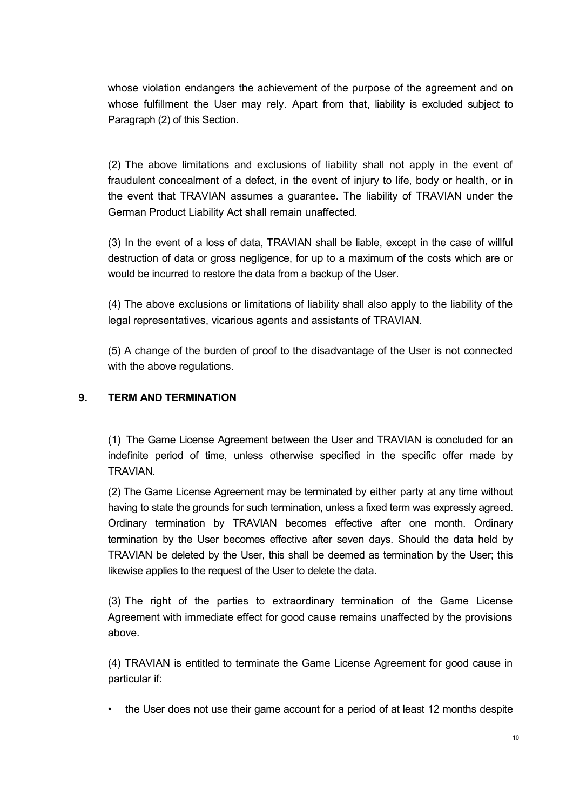whose violation endangers the achievement of the purpose of the agreement and on whose fulfillment the User may rely. Apart from that, liability is excluded subject to Paragraph (2) of this Section.

(2) The above limitations and exclusions of liability shall not apply in the event of fraudulent concealment of a defect, in the event of injury to life, body or health, or in the event that TRAVIAN assumes a guarantee. The liability of TRAVIAN under the German Product Liability Act shall remain unaffected.

(3) In the event of a loss of data, TRAVIAN shall be liable, except in the case of willful destruction of data or gross negligence, for up to a maximum of the costs which are or would be incurred to restore the data from a backup of the User.

(4) The above exclusions or limitations of liability shall also apply to the liability of the legal representatives, vicarious agents and assistants of TRAVIAN.

(5) A change of the burden of proof to the disadvantage of the User is not connected with the above regulations.

# **9. TERM AND TERMINATION**

(1) The Game License Agreement between the User and TRAVIAN is concluded for an indefinite period of time, unless otherwise specified in the specific offer made by **TRAVIAN** 

(2) The Game License Agreement may be terminated by either party at any time without having to state the grounds for such termination, unless a fixed term was expressly agreed. Ordinary termination by TRAVIAN becomes effective after one month. Ordinary termination by the User becomes effective after seven days. Should the data held by TRAVIAN be deleted by the User, this shall be deemed as termination by the User; this likewise applies to the request of the User to delete the data.

(3) The right of the parties to extraordinary termination of the Game License Agreement with immediate effect for good cause remains unaffected by the provisions above.

(4) TRAVIAN is entitled to terminate the Game License Agreement for good cause in particular if:

• the User does not use their game account for a period of at least 12 months despite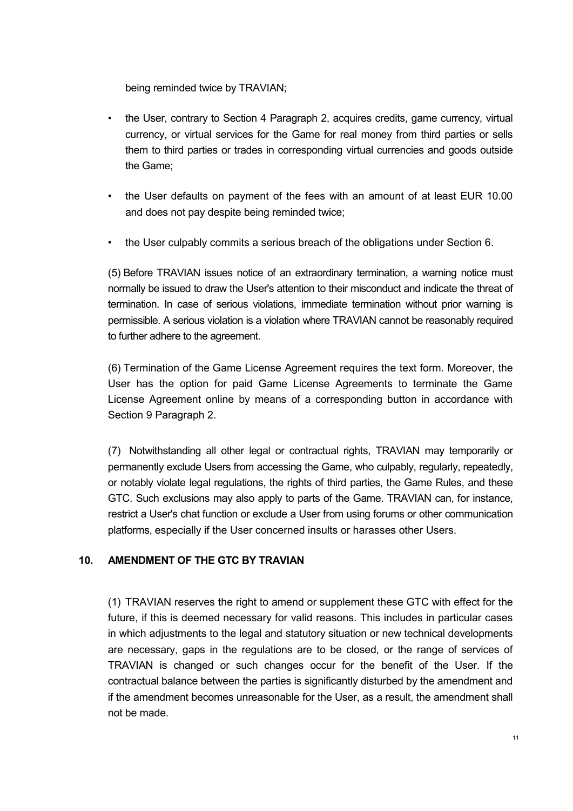being reminded twice by TRAVIAN;

- the User, contrary to Section 4 Paragraph 2, acquires credits, game currency, virtual currency, or virtual services for the Game for real money from third parties or sells them to third parties or trades in corresponding virtual currencies and goods outside the Game;
- the User defaults on payment of the fees with an amount of at least EUR 10.00 and does not pay despite being reminded twice;
- the User culpably commits a serious breach of the obligations under Section 6.

(5) Before TRAVIAN issues notice of an extraordinary termination, a warning notice must normally be issued to draw the User's attention to their misconduct and indicate the threat of termination. In case of serious violations, immediate termination without prior warning is permissible. A serious violation is a violation where TRAVIAN cannot be reasonably required to further adhere to the agreement.

(6) Termination of the Game License Agreement requires the text form. Moreover, the User has the option for paid Game License Agreements to terminate the Game License Agreement online by means of a corresponding button in accordance with Section 9 Paragraph 2.

(7) Notwithstanding all other legal or contractual rights, TRAVIAN may temporarily or permanently exclude Users from accessing the Game, who culpably, regularly, repeatedly, or notably violate legal regulations, the rights of third parties, the Game Rules, and these GTC. Such exclusions may also apply to parts of the Game. TRAVIAN can, for instance, restrict a User's chat function or exclude a User from using forums or other communication platforms, especially if the User concerned insults or harasses other Users.

## **10. AMENDMENT OF THE GTC BY TRAVIAN**

(1) TRAVIAN reserves the right to amend or supplement these GTC with effect for the future, if this is deemed necessary for valid reasons. This includes in particular cases in which adjustments to the legal and statutory situation or new technical developments are necessary, gaps in the regulations are to be closed, or the range of services of TRAVIAN is changed or such changes occur for the benefit of the User. If the contractual balance between the parties is significantly disturbed by the amendment and if the amendment becomes unreasonable for the User, as a result, the amendment shall not be made.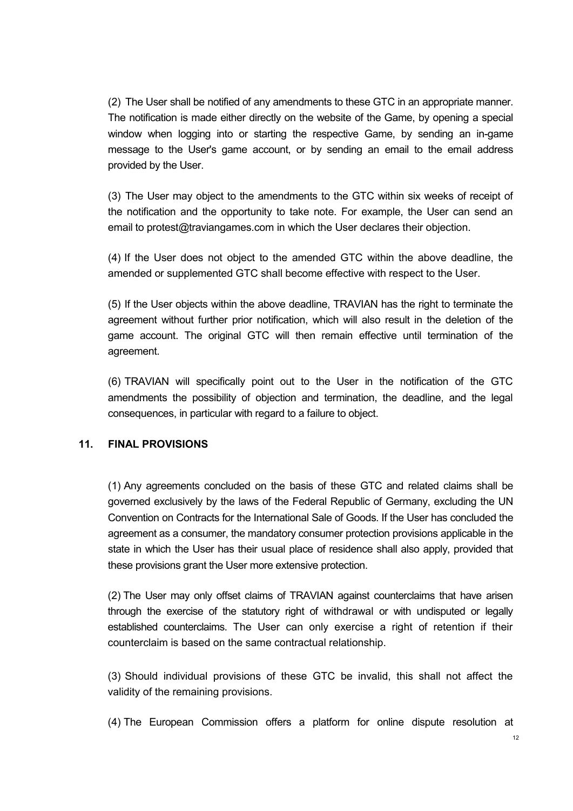(2) The User shall be notified of any amendments to these GTC in an appropriate manner. The notification is made either directly on the website of the Game, by opening a special window when logging into or starting the respective Game, by sending an in-game message to the User's game account, or by sending an email to the email address provided by the User.

(3) The User may object to the amendments to the GTC within six weeks of receipt of the notification and the opportunity to take note. For example, the User can send an email to [protest@traviangames.com i](mailto:protest@traviangames.com)n which the User declares their objection.

(4) If the User does not object to the amended GTC within the above deadline, the amended or supplemented GTC shall become effective with respect to the User.

(5) If the User objects within the above deadline, TRAVIAN has the right to terminate the agreement without further prior notification, which will also result in the deletion of the game account. The original GTC will then remain effective until termination of the agreement.

(6) TRAVIAN will specifically point out to the User in the notification of the GTC amendments the possibility of objection and termination, the deadline, and the legal consequences, in particular with regard to a failure to object.

## **11. FINAL PROVISIONS**

(1) Any agreements concluded on the basis of these GTC and related claims shall be governed exclusively by the laws of the Federal Republic of Germany, excluding the UN Convention on Contracts for the International Sale of Goods. If the User has concluded the agreement as a consumer, the mandatory consumer protection provisions applicable in the state in which the User has their usual place of residence shall also apply, provided that these provisions grant the User more extensive protection.

(2) The User may only offset claims of TRAVIAN against counterclaims that have arisen through the exercise of the statutory right of withdrawal or with undisputed or legally established counterclaims. The User can only exercise a right of retention if their counterclaim is based on the same contractual relationship.

(3) Should individual provisions of these GTC be invalid, this shall not affect the validity of the remaining provisions.

(4) The European Commission offers a platform for online dispute resolution at